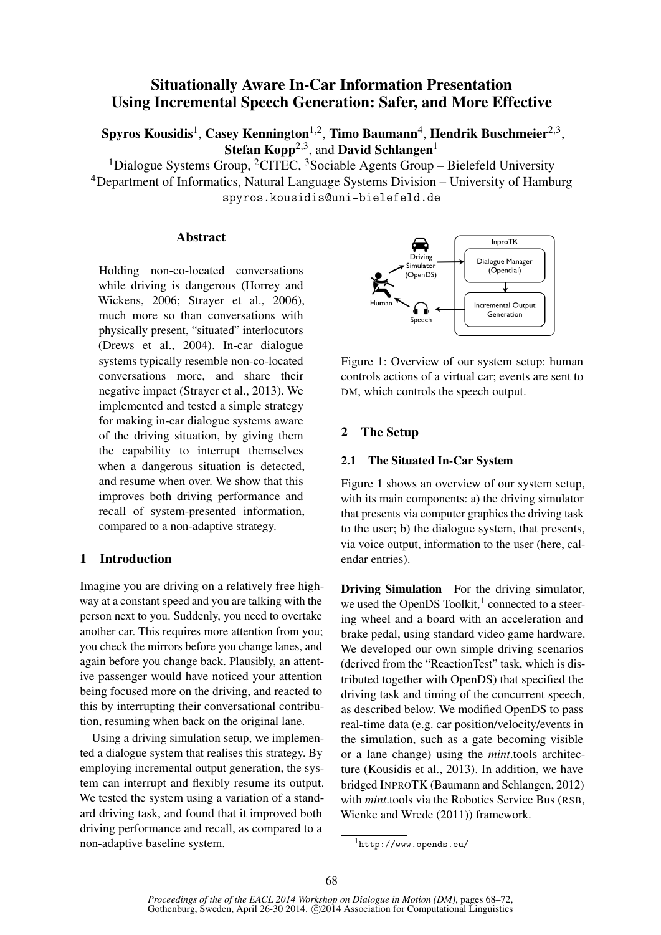# Situationally Aware In-Car Information Presentation Using Incremental Speech Generation: Safer, and More Effective

Spyros Kousidis $^1$ , Casey Kennington $^{1,2}$ , Timo Baumann $^4$ , Hendrik Buschmeier $^{2,3},$ Stefan Kopp<sup>2,3</sup>, and David Schlangen<sup>1</sup>

 $1$ Dialogue Systems Group,  $2$ CITEC,  $3$ Sociable Agents Group – Bielefeld University <sup>4</sup>Department of Informatics, Natural Language Systems Division – University of Hamburg spyros.kousidis@uni-bielefeld.de

## Abstract

Holding non-co-located conversations while driving is dangerous (Horrey and Wickens, 2006; Strayer et al., 2006), much more so than conversations with physically present, "situated" interlocutors (Drews et al., 2004). In-car dialogue systems typically resemble non-co-located conversations more, and share their negative impact (Strayer et al., 2013). We implemented and tested a simple strategy for making in-car dialogue systems aware of the driving situation, by giving them the capability to interrupt themselves when a dangerous situation is detected, and resume when over. We show that this improves both driving performance and recall of system-presented information, compared to a non-adaptive strategy.

## 1 Introduction

Imagine you are driving on a relatively free highway at a constant speed and you are talking with the person next to you. Suddenly, you need to overtake another car. This requires more attention from you; you check the mirrors before you change lanes, and again before you change back. Plausibly, an attentive passenger would have noticed your attention being focused more on the driving, and reacted to this by interrupting their conversational contribution, resuming when back on the original lane.

Using a driving simulation setup, we implemented a dialogue system that realises this strategy. By employing incremental output generation, the system can interrupt and flexibly resume its output. We tested the system using a variation of a standard driving task, and found that it improved both driving performance and recall, as compared to a non-adaptive baseline system.



Figure 1: Overview of our system setup: human controls actions of a virtual car; events are sent to DM, which controls the speech output.

## 2 The Setup

### 2.1 The Situated In-Car System

Figure 1 shows an overview of our system setup, with its main components: a) the driving simulator that presents via computer graphics the driving task to the user; b) the dialogue system, that presents, via voice output, information to the user (here, calendar entries).

Driving Simulation For the driving simulator, we used the OpenDS Toolkit,<sup>1</sup> connected to a steering wheel and a board with an acceleration and brake pedal, using standard video game hardware. We developed our own simple driving scenarios (derived from the "ReactionTest" task, which is distributed together with OpenDS) that specified the driving task and timing of the concurrent speech, as described below. We modified OpenDS to pass real-time data (e.g. car position/velocity/events in the simulation, such as a gate becoming visible or a lane change) using the *mint*.tools architecture (Kousidis et al., 2013). In addition, we have bridged INPROTK (Baumann and Schlangen, 2012) with *mint*.tools via the Robotics Service Bus (RSB, Wienke and Wrede (2011)) framework.

<sup>1</sup>http://www.opends.eu/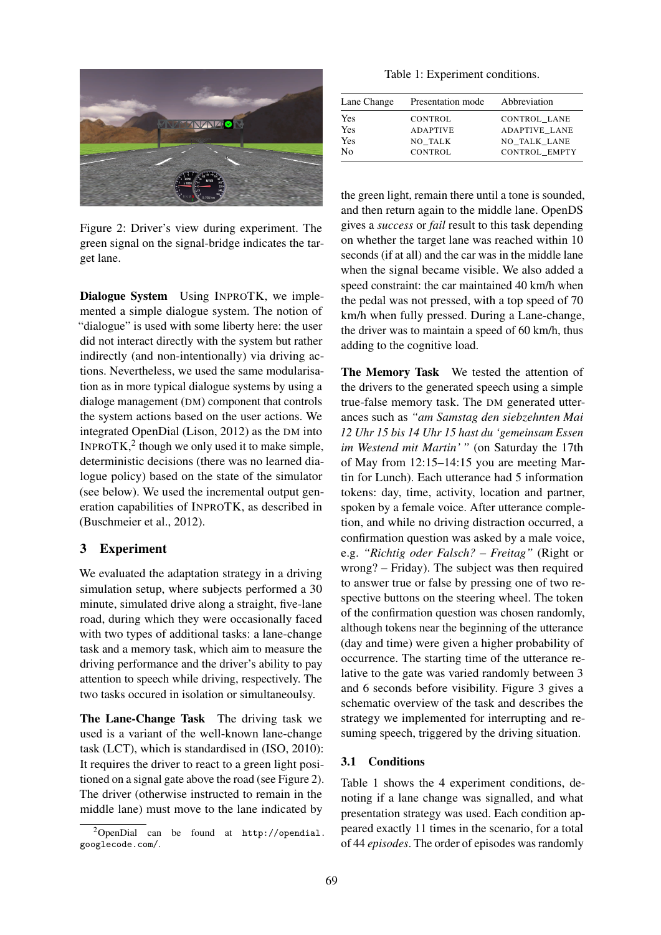

Figure 2: Driver's view during experiment. The green signal on the signal-bridge indicates the target lane.

Dialogue System Using INPROTK, we implemented a simple dialogue system. The notion of "dialogue" is used with some liberty here: the user did not interact directly with the system but rather indirectly (and non-intentionally) via driving actions. Nevertheless, we used the same modularisation as in more typical dialogue systems by using a dialoge management (DM) component that controls the system actions based on the user actions. We integrated OpenDial (Lison, 2012) as the DM into INPROTK, $^2$  though we only used it to make simple, deterministic decisions (there was no learned dialogue policy) based on the state of the simulator (see below). We used the incremental output generation capabilities of INPROTK, as described in (Buschmeier et al., 2012).

## 3 Experiment

We evaluated the adaptation strategy in a driving simulation setup, where subjects performed a 30 minute, simulated drive along a straight, five-lane road, during which they were occasionally faced with two types of additional tasks: a lane-change task and a memory task, which aim to measure the driving performance and the driver's ability to pay attention to speech while driving, respectively. The two tasks occured in isolation or simultaneoulsy.

The Lane-Change Task The driving task we used is a variant of the well-known lane-change task (LCT), which is standardised in (ISO, 2010): It requires the driver to react to a green light positioned on a signal gate above the road (see Figure 2). The driver (otherwise instructed to remain in the middle lane) must move to the lane indicated by

Table 1: Experiment conditions.

| Lane Change | Presentation mode | Abbreviation         |
|-------------|-------------------|----------------------|
| Yes         | <b>CONTROL</b>    | CONTROL LANE         |
| Yes         | <b>ADAPTIVE</b>   | <b>ADAPTIVE LANE</b> |
| Yes         | NO TALK           | NO TALK LANE         |
| No          | <b>CONTROL</b>    | CONTROL EMPTY        |

the green light, remain there until a tone is sounded, and then return again to the middle lane. OpenDS gives a *success* or *fail* result to this task depending on whether the target lane was reached within 10 seconds (if at all) and the car was in the middle lane when the signal became visible. We also added a speed constraint: the car maintained 40 km/h when the pedal was not pressed, with a top speed of 70 km/h when fully pressed. During a Lane-change, the driver was to maintain a speed of 60 km/h, thus adding to the cognitive load.

The Memory Task We tested the attention of the drivers to the generated speech using a simple true-false memory task. The DM generated utterances such as *"am Samstag den siebzehnten Mai 12 Uhr 15 bis 14 Uhr 15 hast du 'gemeinsam Essen im Westend mit Martin' "* (on Saturday the 17th of May from 12:15–14:15 you are meeting Martin for Lunch). Each utterance had 5 information tokens: day, time, activity, location and partner, spoken by a female voice. After utterance completion, and while no driving distraction occurred, a confirmation question was asked by a male voice, e.g. *"Richtig oder Falsch? – Freitag"* (Right or wrong? – Friday). The subject was then required to answer true or false by pressing one of two respective buttons on the steering wheel. The token of the confirmation question was chosen randomly, although tokens near the beginning of the utterance (day and time) were given a higher probability of occurrence. The starting time of the utterance relative to the gate was varied randomly between 3 and 6 seconds before visibility. Figure 3 gives a schematic overview of the task and describes the strategy we implemented for interrupting and resuming speech, triggered by the driving situation.

#### 3.1 Conditions

Table 1 shows the 4 experiment conditions, denoting if a lane change was signalled, and what presentation strategy was used. Each condition appeared exactly 11 times in the scenario, for a total of 44 *episodes*. The order of episodes was randomly

<sup>2</sup>OpenDial can be found at http://opendial. googlecode.com/.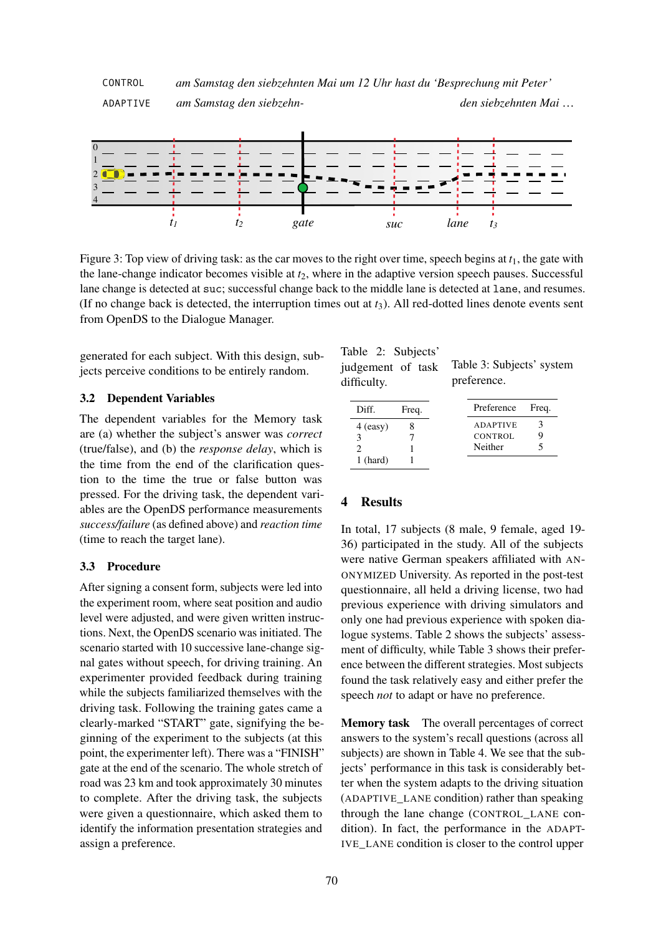

Figure 3: Top view of driving task: as the car moves to the right over time, speech begins at *t*1, the gate with the lane-change indicator becomes visible at  $t_2$ , where in the adaptive version speech pauses. Successful lane change is detected at suc; successful change back to the middle lane is detected at lane, and resumes. (If no change back is detected, the interruption times out at  $t_3$ ). All red-dotted lines denote events sent from OpenDS to the Dialogue Manager.

generated for each subject. With this design, subjects perceive conditions to be entirely random.

## 3.2 Dependent Variables

The dependent variables for the Memory task are (a) whether the subject's answer was *correct* (true/false), and (b) the *response delay*, which is the time from the end of the clarification question to the time the true or false button was pressed. For the driving task, the dependent variables are the OpenDS performance measurements *success/failure* (as defined above) and *reaction time* (time to reach the target lane).

## 3.3 Procedure

After signing a consent form, subjects were led into the experiment room, where seat position and audio level were adjusted, and were given written instructions. Next, the OpenDS scenario was initiated. The scenario started with 10 successive lane-change signal gates without speech, for driving training. An experimenter provided feedback during training while the subjects familiarized themselves with the driving task. Following the training gates came a clearly-marked "START" gate, signifying the beginning of the experiment to the subjects (at this point, the experimenter left). There was a "FINISH" gate at the end of the scenario. The whole stretch of road was 23 km and took approximately 30 minutes to complete. After the driving task, the subjects were given a questionnaire, which asked them to identify the information presentation strategies and assign a preference.

Table 2: Subjects' judgement of task difficulty.

Table 3: Subjects' system preference.

| Diff.      | Freq. |         | Preference                        | Freq. |
|------------|-------|---------|-----------------------------------|-------|
| $4$ (easy) |       | Neither | <b>ADAPTIVE</b><br><b>CONTROL</b> |       |
| $1$ (hard) |       |         |                                   |       |

# 4 Results

In total, 17 subjects (8 male, 9 female, aged 19- 36) participated in the study. All of the subjects were native German speakers affiliated with AN-ONYMIZED University. As reported in the post-test questionnaire, all held a driving license, two had previous experience with driving simulators and only one had previous experience with spoken dialogue systems. Table 2 shows the subjects' assessment of difficulty, while Table 3 shows their preference between the different strategies. Most subjects found the task relatively easy and either prefer the speech *not* to adapt or have no preference.

Memory task The overall percentages of correct answers to the system's recall questions (across all subjects) are shown in Table 4. We see that the subjects' performance in this task is considerably better when the system adapts to the driving situation (ADAPTIVE\_LANE condition) rather than speaking through the lane change (CONTROL\_LANE condition). In fact, the performance in the ADAPT-IVE\_LANE condition is closer to the control upper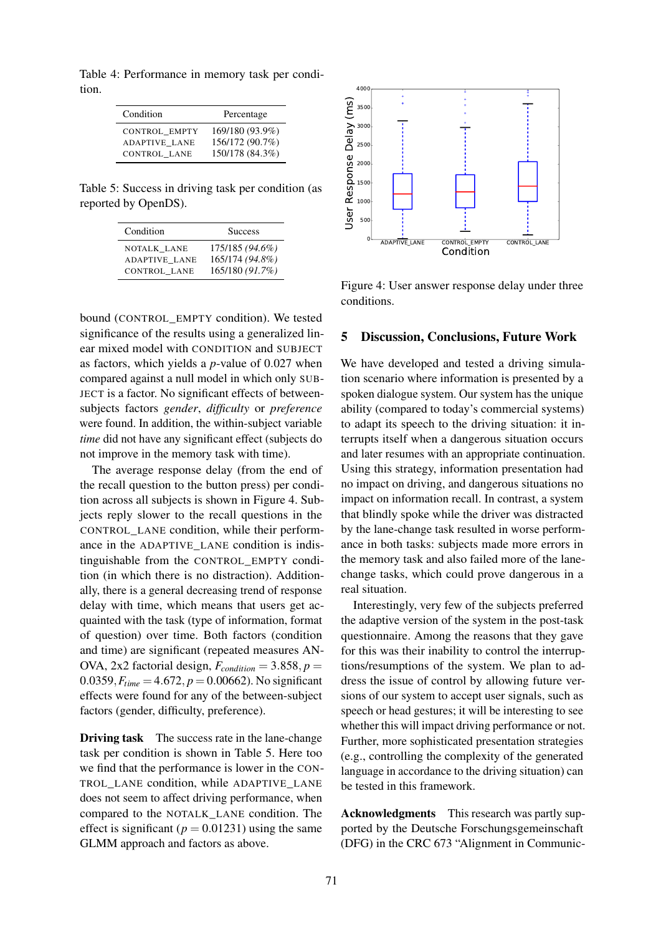Table 4: Performance in memory task per condition.

| Condition            | Percentage      |
|----------------------|-----------------|
| <b>CONTROL EMPTY</b> | 169/180 (93.9%) |
| <b>ADAPTIVE LANE</b> | 156/172 (90.7%) |
| CONTROL LANE         | 150/178 (84.3%) |

Table 5: Success in driving task per condition (as reported by OpenDS).

| Condition            | <b>Success</b>  |
|----------------------|-----------------|
| NOTALK LANE          | 175/185 (94.6%) |
| <b>ADAPTIVE LANE</b> | 165/174 (94.8%) |
| CONTROL LANE         | 165/180 (91.7%) |

bound (CONTROL\_EMPTY condition). We tested significance of the results using a generalized linear mixed model with CONDITION and SUBJECT as factors, which yields a *p*-value of 0.027 when compared against a null model in which only SUB-JECT is a factor. No significant effects of betweensubjects factors *gender*, *difficulty* or *preference* were found. In addition, the within-subject variable *time* did not have any significant effect (subjects do not improve in the memory task with time).

The average response delay (from the end of the recall question to the button press) per condition across all subjects is shown in Figure 4. Subjects reply slower to the recall questions in the CONTROL\_LANE condition, while their performance in the ADAPTIVE\_LANE condition is indistinguishable from the CONTROL\_EMPTY condition (in which there is no distraction). Additionally, there is a general decreasing trend of response delay with time, which means that users get acquainted with the task (type of information, format of question) over time. Both factors (condition and time) are significant (repeated measures AN-OVA, 2x2 factorial design,  $F_{condition} = 3.858, p =$ 0.0359,  $F_{time} = 4.672$ ,  $p = 0.00662$ ). No significant effects were found for any of the between-subject factors (gender, difficulty, preference).

**Driving task** The success rate in the lane-change task per condition is shown in Table 5. Here too we find that the performance is lower in the CON-TROL\_LANE condition, while ADAPTIVE\_LANE does not seem to affect driving performance, when compared to the NOTALK\_LANE condition. The effect is significant ( $p = 0.01231$ ) using the same GLMM approach and factors as above.



Figure 4: User answer response delay under three conditions.

## 5 Discussion, Conclusions, Future Work

We have developed and tested a driving simulation scenario where information is presented by a spoken dialogue system. Our system has the unique ability (compared to today's commercial systems) to adapt its speech to the driving situation: it interrupts itself when a dangerous situation occurs and later resumes with an appropriate continuation. Using this strategy, information presentation had no impact on driving, and dangerous situations no impact on information recall. In contrast, a system that blindly spoke while the driver was distracted by the lane-change task resulted in worse performance in both tasks: subjects made more errors in the memory task and also failed more of the lanechange tasks, which could prove dangerous in a real situation.

Interestingly, very few of the subjects preferred the adaptive version of the system in the post-task questionnaire. Among the reasons that they gave for this was their inability to control the interruptions/resumptions of the system. We plan to address the issue of control by allowing future versions of our system to accept user signals, such as speech or head gestures; it will be interesting to see whether this will impact driving performance or not. Further, more sophisticated presentation strategies (e.g., controlling the complexity of the generated language in accordance to the driving situation) can be tested in this framework.

Acknowledgments This research was partly supported by the Deutsche Forschungsgemeinschaft (DFG) in the CRC 673 "Alignment in Communic